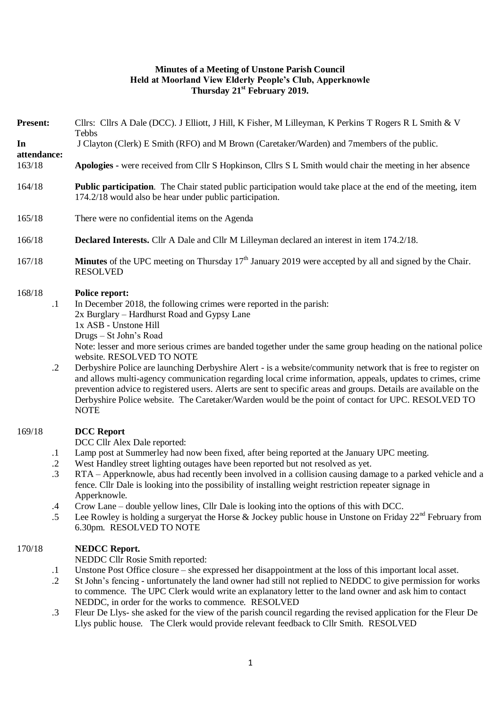## **Minutes of a Meeting of Unstone Parish Council Held at Moorland View Elderly People's Club, Apperknowle Thursday 21st February 2019.**

| <b>Present:</b>                                                               | Cllrs: Cllrs A Dale (DCC). J Elliott, J Hill, K Fisher, M Lilleyman, K Perkins T Rogers R L Smith & V<br>Tebbs                                                                                                                                                                                                                                                                                                                                                                                                                                                                                                                                                                                                                                                                                                       |  |  |
|-------------------------------------------------------------------------------|----------------------------------------------------------------------------------------------------------------------------------------------------------------------------------------------------------------------------------------------------------------------------------------------------------------------------------------------------------------------------------------------------------------------------------------------------------------------------------------------------------------------------------------------------------------------------------------------------------------------------------------------------------------------------------------------------------------------------------------------------------------------------------------------------------------------|--|--|
| In                                                                            | J Clayton (Clerk) E Smith (RFO) and M Brown (Caretaker/Warden) and 7members of the public.                                                                                                                                                                                                                                                                                                                                                                                                                                                                                                                                                                                                                                                                                                                           |  |  |
| attendance:<br>163/18                                                         | Apologies - were received from Cllr S Hopkinson, Cllrs S L Smith would chair the meeting in her absence                                                                                                                                                                                                                                                                                                                                                                                                                                                                                                                                                                                                                                                                                                              |  |  |
| 164/18                                                                        | Public participation. The Chair stated public participation would take place at the end of the meeting, item<br>174.2/18 would also be hear under public participation.                                                                                                                                                                                                                                                                                                                                                                                                                                                                                                                                                                                                                                              |  |  |
| 165/18                                                                        | There were no confidential items on the Agenda                                                                                                                                                                                                                                                                                                                                                                                                                                                                                                                                                                                                                                                                                                                                                                       |  |  |
| 166/18                                                                        | <b>Declared Interests.</b> Cllr A Dale and Cllr M Lilleyman declared an interest in item 174.2/18.                                                                                                                                                                                                                                                                                                                                                                                                                                                                                                                                                                                                                                                                                                                   |  |  |
| 167/18                                                                        | <b>Minutes</b> of the UPC meeting on Thursday $17th$ January 2019 were accepted by all and signed by the Chair.<br><b>RESOLVED</b>                                                                                                                                                                                                                                                                                                                                                                                                                                                                                                                                                                                                                                                                                   |  |  |
| 168/18<br>$\cdot$ 1<br>$\cdot$ .2                                             | <b>Police report:</b><br>In December 2018, the following crimes were reported in the parish:<br>2x Burglary – Hardhurst Road and Gypsy Lane<br>1x ASB - Unstone Hill<br>Drugs - St John's Road<br>Note: lesser and more serious crimes are banded together under the same group heading on the national police<br>website. RESOLVED TO NOTE<br>Derbyshire Police are launching Derbyshire Alert - is a website/community network that is free to register on<br>and allows multi-agency communication regarding local crime information, appeals, updates to crimes, crime<br>prevention advice to registered users. Alerts are sent to specific areas and groups. Details are available on the<br>Derbyshire Police website. The Caretaker/Warden would be the point of contact for UPC. RESOLVED TO<br><b>NOTE</b> |  |  |
| 169/18<br>$\cdot$<br>$\cdot$ <sup>2</sup><br>$\cdot$ 3<br>$\cdot$ 4<br>$.5\,$ | <b>DCC</b> Report<br>DCC Cllr Alex Dale reported:<br>Lamp post at Summerley had now been fixed, after being reported at the January UPC meeting.<br>West Handley street lighting outages have been reported but not resolved as yet.<br>RTA – Apperknowle, abus had recently been involved in a collision causing damage to a parked vehicle and a<br>fence. Cllr Dale is looking into the possibility of installing weight restriction repeater signage in<br>Apperknowle.<br>Crow Lane – double yellow lines, Cllr Dale is looking into the options of this with DCC.<br>Lee Rowley is holding a surgeryat the Horse & Jockey public house in Unstone on Friday $22^{nd}$ February from<br>6.30pm. RESOLVED TO NOTE                                                                                                |  |  |
| 170/18<br>$\cdot$<br>$\cdot$ .2<br>$\cdot$ 3                                  | <b>NEDCC Report.</b><br>NEDDC Cllr Rosie Smith reported:<br>Unstone Post Office closure - she expressed her disappointment at the loss of this important local asset.<br>St John's fencing - unfortunately the land owner had still not replied to NEDDC to give permission for works<br>to commence. The UPC Clerk would write an explanatory letter to the land owner and ask him to contact<br>NEDDC, in order for the works to commence. RESOLVED<br>Fleur De Llys- she asked for the view of the parish council regarding the revised application for the Fleur De<br>Llys public house. The Clerk would provide relevant feedback to Cllr Smith. RESOLVED                                                                                                                                                      |  |  |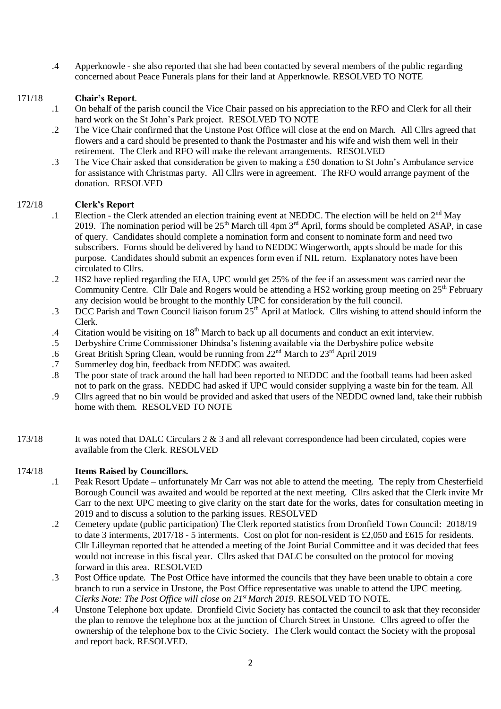.4 Apperknowle - she also reported that she had been contacted by several members of the public regarding concerned about Peace Funerals plans for their land at Apperknowle. RESOLVED TO NOTE

#### 171/18 **Chair's Report**.

- .1 On behalf of the parish council the Vice Chair passed on his appreciation to the RFO and Clerk for all their hard work on the St John's Park project. RESOLVED TO NOTE
- .2 The Vice Chair confirmed that the Unstone Post Office will close at the end on March. All Cllrs agreed that flowers and a card should be presented to thank the Postmaster and his wife and wish them well in their retirement. The Clerk and RFO will make the relevant arrangements. RESOLVED
- .3 The Vice Chair asked that consideration be given to making a £50 donation to St John's Ambulance service for assistance with Christmas party. All Cllrs were in agreement. The RFO would arrange payment of the donation. RESOLVED

#### 172/18 **Clerk's Report**

- .1 Election - the Clerk attended an election training event at NEDDC. The election will be held on 2<sup>nd</sup> May 2019. The nomination period will be  $25<sup>th</sup>$  March till 4pm  $3<sup>rd</sup>$  April, forms should be completed ASAP, in case of query. Candidates should complete a nomination form and consent to nominate form and need two subscribers. Forms should be delivered by hand to NEDDC Wingerworth, appts should be made for this purpose. Candidates should submit an expences form even if NIL return. Explanatory notes have been circulated to Cllrs.
- .2 HS2 have replied regarding the EIA, UPC would get 25% of the fee if an assessment was carried near the Community Centre. Cllr Dale and Rogers would be attending a HS2 working group meeting on 25<sup>th</sup> February any decision would be brought to the monthly UPC for consideration by the full council.
- .3 DCC Parish and Town Council liaison forum  $25<sup>th</sup>$  April at Matlock. Cllrs wishing to attend should inform the Clerk.
- .4 Citation would be visiting on 18<sup>th</sup> March to back up all documents and conduct an exit interview.
- .5 Derbyshire Crime Commissioner Dhindsa's listening available via the Derbyshire police website
- .6 Great British Spring Clean, would be running from 22<sup>nd</sup> March to 23<sup>rd</sup> April 2019
- .7 Summerley dog bin, feedback from NEDDC was awaited.
- .8 The poor state of track around the hall had been reported to NEDDC and the football teams had been asked not to park on the grass. NEDDC had asked if UPC would consider supplying a waste bin for the team. All
- .9 Cllrs agreed that no bin would be provided and asked that users of the NEDDC owned land, take their rubbish home with them. RESOLVED TO NOTE
- 173/18 It was noted that DALC Circulars 2 & 3 and all relevant correspondence had been circulated, copies were available from the Clerk. RESOLVED

### 174/18 **Items Raised by Councillors.**

- .1 Peak Resort Update unfortunately Mr Carr was not able to attend the meeting. The reply from Chesterfield Borough Council was awaited and would be reported at the next meeting. Cllrs asked that the Clerk invite Mr Carr to the next UPC meeting to give clarity on the start date for the works, dates for consultation meeting in 2019 and to discuss a solution to the parking issues. RESOLVED
- .2 Cemetery update (public participation) The Clerk reported statistics from Dronfield Town Council: 2018/19 to date 3 interments, 2017/18 - 5 interments. Cost on plot for non-resident is £2,050 and £615 for residents. Cllr Lilleyman reported that he attended a meeting of the Joint Burial Committee and it was decided that fees would not increase in this fiscal year. Cllrs asked that DALC be consulted on the protocol for moving forward in this area. RESOLVED
- .3 Post Office update. The Post Office have informed the councils that they have been unable to obtain a core branch to run a service in Unstone, the Post Office representative was unable to attend the UPC meeting. *Clerks Note: The Post Office will close on 21st March 2019.* RESOLVED TO NOTE.
- .4 Unstone Telephone box update. Dronfield Civic Society has contacted the council to ask that they reconsider the plan to remove the telephone box at the junction of Church Street in Unstone. Cllrs agreed to offer the ownership of the telephone box to the Civic Society. The Clerk would contact the Society with the proposal and report back. RESOLVED.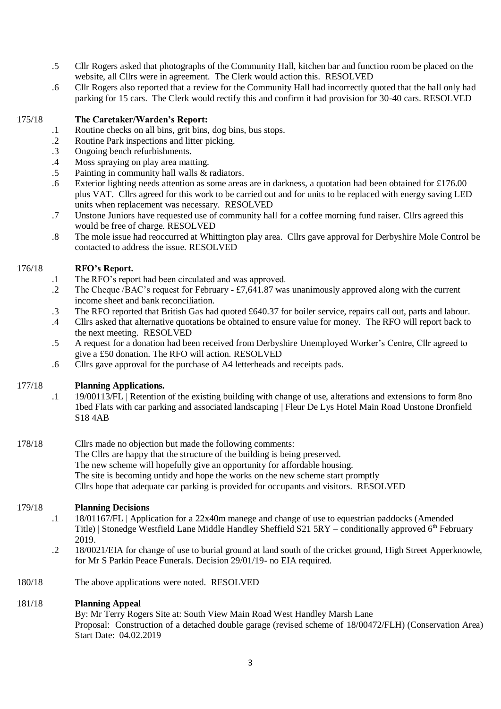- .5 Cllr Rogers asked that photographs of the Community Hall, kitchen bar and function room be placed on the website, all Cllrs were in agreement. The Clerk would action this. RESOLVED
- .6 Cllr Rogers also reported that a review for the Community Hall had incorrectly quoted that the hall only had parking for 15 cars. The Clerk would rectify this and confirm it had provision for 30-40 cars. RESOLVED

#### 175/18 **The Caretaker/Warden's Report:**

- .1 Routine checks on all bins, grit bins, dog bins, bus stops.
- .2 Routine Park inspections and litter picking.
- .3 Ongoing bench refurbishments.
- .4 Moss spraying on play area matting.
- .5 Painting in community hall walls & radiators.
- .6 Exterior lighting needs attention as some areas are in darkness, a quotation had been obtained for £176.00 plus VAT. Cllrs agreed for this work to be carried out and for units to be replaced with energy saving LED units when replacement was necessary. RESOLVED
- .7 Unstone Juniors have requested use of community hall for a coffee morning fund raiser. Cllrs agreed this would be free of charge. RESOLVED
- .8 The mole issue had reoccurred at Whittington play area. Cllrs gave approval for Derbyshire Mole Control be contacted to address the issue. RESOLVED

### 176/18 **RFO's Report.**

- .1 The RFO's report had been circulated and was approved.
- .2 The Cheque /BAC's request for February - £7,641.87 was unanimously approved along with the current income sheet and bank reconciliation.
- .3 The RFO reported that British Gas had quoted £640.37 for boiler service, repairs call out, parts and labour.
- .4 Cllrs asked that alternative quotations be obtained to ensure value for money. The RFO will report back to the next meeting. RESOLVED
- .5 A request for a donation had been received from Derbyshire Unemployed Worker's Centre, Cllr agreed to give a £50 donation. The RFO will action. RESOLVED
- .6 Cllrs gave approval for the purchase of A4 letterheads and receipts pads.

### 177/18 **Planning Applications.**

.1 19/00113/FL | Retention of the existing building with change of use, alterations and extensions to form 8no 1bed Flats with car parking and associated landscaping | Fleur De Lys Hotel Main Road Unstone Dronfield S18 4AB

# 178/18 Cllrs made no objection but made the following comments:

- The Cllrs are happy that the structure of the building is being preserved.
- The new scheme will hopefully give an opportunity for affordable housing.
- The site is becoming untidy and hope the works on the new scheme start promptly

Cllrs hope that adequate car parking is provided for occupants and visitors. RESOLVED

### 179/18 **Planning Decisions**

- .1 18/01167/FL | Application for a 22x40m manege and change of use to equestrian paddocks (Amended Title) | Stonedge Westfield Lane Middle Handley Sheffield  $S215RY -$  conditionally approved 6<sup>th</sup> February 2019.
- .2 18/0021/EIA for change of use to burial ground at land south of the cricket ground, High Street Apperknowle, for Mr S Parkin Peace Funerals. Decision 29/01/19- no EIA required.
- 180/18 The above applications were noted. RESOLVED

### 181/18 **Planning Appeal**

By: Mr Terry Rogers Site at: South View Main Road West Handley Marsh Lane Proposal: Construction of a detached double garage (revised scheme of 18/00472/FLH) (Conservation Area) Start Date: 04.02.2019